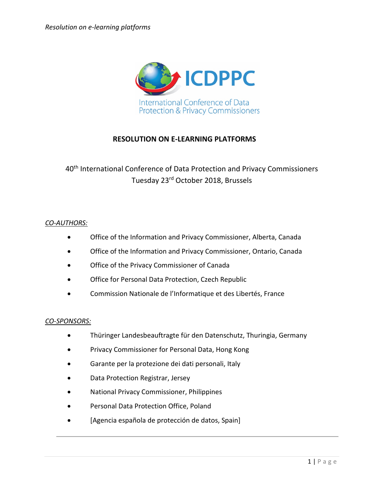

### **RESOLUTION ON E-LEARNING PLATFORMS**

### 40<sup>th</sup> International Conference of Data Protection and Privacy Commissioners Tuesday 23rd October 2018, Brussels

#### *CO-AUTHORS:*

- Office of the Information and Privacy Commissioner, Alberta, Canada
- Office of the Information and Privacy Commissioner, Ontario, Canada
- Office of the Privacy Commissioner of Canada
- Office for Personal Data Protection, Czech Republic
- Commission Nationale de l'Informatique et des Libertés, France

#### *CO-SPONSORS:*

- Thüringer Landesbeauftragte für den Datenschutz, Thuringia, Germany
- Privacy Commissioner for Personal Data, Hong Kong
- Garante per la protezione dei dati personali, Italy
- Data Protection Registrar, Jersey
- National Privacy Commissioner, Philippines
- Personal Data Protection Office, Poland
- [Agencia española de protección de datos, Spain]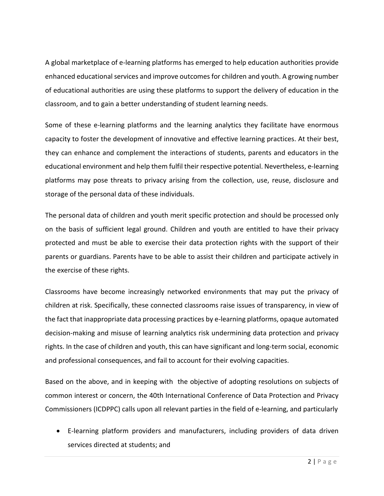A global marketplace of e-learning platforms has emerged to help education authorities provide enhanced educational services and improve outcomes for children and youth. A growing number of educational authorities are using these platforms to support the delivery of education in the classroom, and to gain a better understanding of student learning needs.

Some of these e-learning platforms and the learning analytics they facilitate have enormous capacity to foster the development of innovative and effective learning practices. At their best, they can enhance and complement the interactions of students, parents and educators in the educational environment and help them fulfil their respective potential. Nevertheless, e-learning platforms may pose threats to privacy arising from the collection, use, reuse, disclosure and storage of the personal data of these individuals.

The personal data of children and youth merit specific protection and should be processed only on the basis of sufficient legal ground. Children and youth are entitled to have their privacy protected and must be able to exercise their data protection rights with the support of their parents or guardians. Parents have to be able to assist their children and participate actively in the exercise of these rights.

Classrooms have become increasingly networked environments that may put the privacy of children at risk. Specifically, these connected classrooms raise issues of transparency, in view of the fact that inappropriate data processing practices by e-learning platforms, opaque automated decision-making and misuse of learning analytics risk undermining data protection and privacy rights. In the case of children and youth, this can have significant and long-term social, economic and professional consequences, and fail to account for their evolving capacities.

Based on the above, and in keeping with the objective of adopting resolutions on subjects of common interest or concern, the 40th International Conference of Data Protection and Privacy Commissioners (ICDPPC) calls upon all relevant parties in the field of e-learning, and particularly

• E-learning platform providers and manufacturers, including providers of data driven services directed at students; and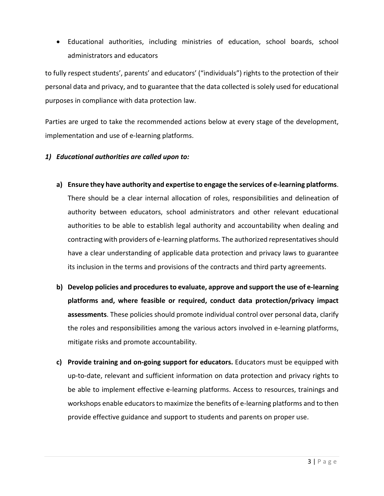• Educational authorities, including ministries of education, school boards, school administrators and educators

to fully respect students', parents' and educators' ("individuals") rights to the protection of their personal data and privacy, and to guarantee that the data collected is solely used for educational purposes in compliance with data protection law.

Parties are urged to take the recommended actions below at every stage of the development, implementation and use of e-learning platforms.

#### *1) Educational authorities are called upon to:*

- **a) Ensure they have authority and expertise to engage the services of e-learning platforms**. There should be a clear internal allocation of roles, responsibilities and delineation of authority between educators, school administrators and other relevant educational authorities to be able to establish legal authority and accountability when dealing and contracting with providers of e-learning platforms. The authorized representatives should have a clear understanding of applicable data protection and privacy laws to guarantee its inclusion in the terms and provisions of the contracts and third party agreements.
- **b) Develop policies and procedures to evaluate, approve and support the use of e-learning platforms and, where feasible or required, conduct data protection/privacy impact assessments**. These policies should promote individual control over personal data, clarify the roles and responsibilities among the various actors involved in e-learning platforms, mitigate risks and promote accountability.
- **c) Provide training and on-going support for educators.** Educators must be equipped with up-to-date, relevant and sufficient information on data protection and privacy rights to be able to implement effective e-learning platforms. Access to resources, trainings and workshops enable educators to maximize the benefits of e-learning platforms and to then provide effective guidance and support to students and parents on proper use.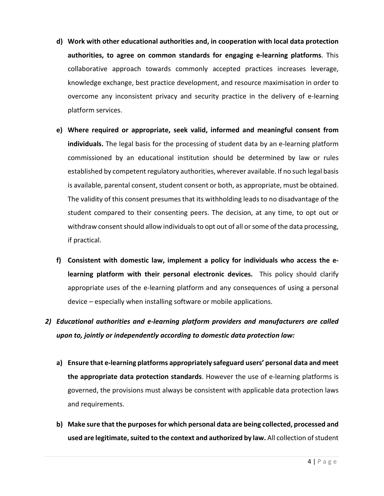- **d) Work with other educational authorities and, in cooperation with local data protection authorities, to agree on common standards for engaging e-learning platforms**. This collaborative approach towards commonly accepted practices increases leverage, knowledge exchange, best practice development, and resource maximisation in order to overcome any inconsistent privacy and security practice in the delivery of e-learning platform services.
- **e) Where required or appropriate, seek valid, informed and meaningful consent from individuals.** The legal basis for the processing of student data by an e-learning platform commissioned by an educational institution should be determined by law or rules established by competent regulatory authorities, wherever available. If no such legal basis is available, parental consent, student consent or both, as appropriate, must be obtained. The validity of this consent presumes that its withholding leads to no disadvantage of the student compared to their consenting peers. The decision, at any time, to opt out or withdraw consent should allow individuals to opt out of all or some of the data processing, if practical.
- **f) Consistent with domestic law, implement a policy for individuals who access the elearning platform with their personal electronic devices.** This policy should clarify appropriate uses of the e-learning platform and any consequences of using a personal device – especially when installing software or mobile applications.

## *2) Educational authorities and e-learning platform providers and manufacturers are called upon to, jointly or independently according to domestic data protection law:*

- **a) Ensure that e-learning platforms appropriately safeguard users' personal data and meet the appropriate data protection standards**. However the use of e-learning platforms is governed, the provisions must always be consistent with applicable data protection laws and requirements.
- **b) Make sure that the purposes for which personal data are being collected, processed and used are legitimate, suited to the context and authorized by law.** All collection of student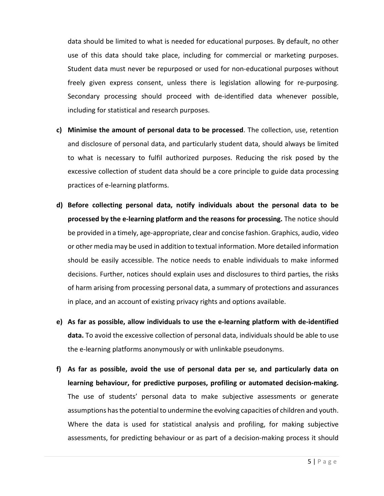data should be limited to what is needed for educational purposes. By default, no other use of this data should take place, including for commercial or marketing purposes. Student data must never be repurposed or used for non-educational purposes without freely given express consent, unless there is legislation allowing for re-purposing. Secondary processing should proceed with de-identified data whenever possible, including for statistical and research purposes.

- **c) Minimise the amount of personal data to be processed**. The collection, use, retention and disclosure of personal data, and particularly student data, should always be limited to what is necessary to fulfil authorized purposes. Reducing the risk posed by the excessive collection of student data should be a core principle to guide data processing practices of e-learning platforms.
- **d) Before collecting personal data, notify individuals about the personal data to be processed by the e-learning platform and the reasons for processing.** The notice should be provided in a timely, age-appropriate, clear and concise fashion. Graphics, audio, video or other media may be used in addition to textual information. More detailed information should be easily accessible. The notice needs to enable individuals to make informed decisions. Further, notices should explain uses and disclosures to third parties, the risks of harm arising from processing personal data, a summary of protections and assurances in place, and an account of existing privacy rights and options available.
- **e) As far as possible, allow individuals to use the e-learning platform with de-identified data.** To avoid the excessive collection of personal data, individuals should be able to use the e-learning platforms anonymously or with unlinkable pseudonyms.
- **f) As far as possible, avoid the use of personal data per se, and particularly data on learning behaviour, for predictive purposes, profiling or automated decision-making.** The use of students' personal data to make subjective assessments or generate assumptions has the potential to undermine the evolving capacities of children and youth. Where the data is used for statistical analysis and profiling, for making subjective assessments, for predicting behaviour or as part of a decision-making process it should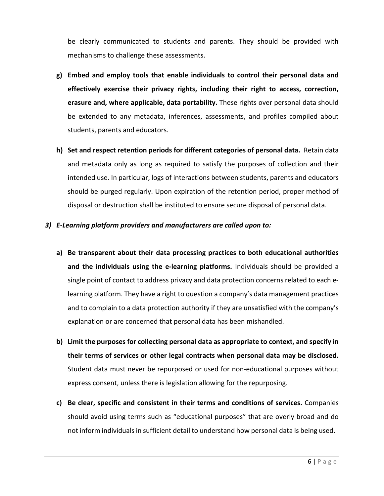be clearly communicated to students and parents. They should be provided with mechanisms to challenge these assessments.

- **g) Embed and employ tools that enable individuals to control their personal data and effectively exercise their privacy rights, including their right to access, correction, erasure and, where applicable, data portability.** These rights over personal data should be extended to any metadata, inferences, assessments, and profiles compiled about students, parents and educators.
- **h) Set and respect retention periods for different categories of personal data.** Retain data and metadata only as long as required to satisfy the purposes of collection and their intended use. In particular, logs of interactions between students, parents and educators should be purged regularly. Upon expiration of the retention period, proper method of disposal or destruction shall be instituted to ensure secure disposal of personal data.

#### *3) E-Learning platform providers and manufacturers are called upon to:*

- **a) Be transparent about their data processing practices to both educational authorities and the individuals using the e-learning platforms.** Individuals should be provided a single point of contact to address privacy and data protection concerns related to each elearning platform. They have a right to question a company's data management practices and to complain to a data protection authority if they are unsatisfied with the company's explanation or are concerned that personal data has been mishandled.
- **b) Limit the purposes for collecting personal data as appropriate to context, and specify in their terms of services or other legal contracts when personal data may be disclosed.**  Student data must never be repurposed or used for non-educational purposes without express consent, unless there is legislation allowing for the repurposing.
- **c) Be clear, specific and consistent in their terms and conditions of services.** Companies should avoid using terms such as "educational purposes" that are overly broad and do not inform individuals in sufficient detail to understand how personal data is being used.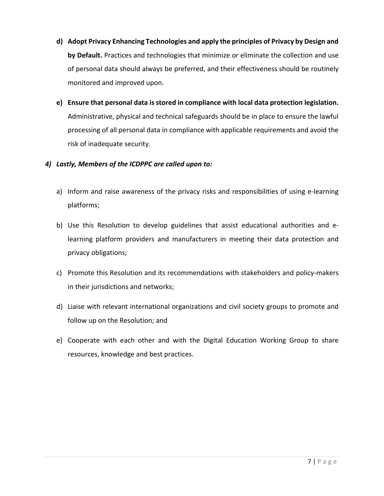- **d) Adopt Privacy Enhancing Technologies and apply the principles of Privacy by Design and by Default.** Practices and technologies that minimize or eliminate the collection and use of personal data should always be preferred, and their effectiveness should be routinely monitored and improved upon.
- **e) Ensure that personal data is stored in compliance with local data protection legislation.**  Administrative, physical and technical safeguards should be in place to ensure the lawful processing of all personal data in compliance with applicable requirements and avoid the risk of inadequate security.

### *4) Lastly, Members of the ICDPPC are called upon to:*

- a) Inform and raise awareness of the privacy risks and responsibilities of using e-learning platforms;
- b) Use this Resolution to develop guidelines that assist educational authorities and elearning platform providers and manufacturers in meeting their data protection and privacy obligations;
- c) Promote this Resolution and its recommendations with stakeholders and policy-makers in their jurisdictions and networks;
- d) Liaise with relevant international organizations and civil society groups to promote and follow up on the Resolution; and
- e) Cooperate with each other and with the Digital Education Working Group to share resources, knowledge and best practices.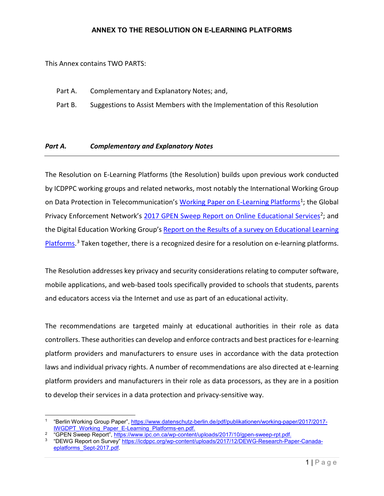#### **ANNEX TO THE RESOLUTION ON E-LEARNING PLATFORMS**

This Annex contains TWO PARTS:

 $\overline{\phantom{a}}$ 

- Part A. Complementary and Explanatory Notes; and,
- Part B. Suggestions to Assist Members with the Implementation of this Resolution

#### *Part A. Complementary and Explanatory Notes*

The Resolution on E-Learning Platforms (the Resolution) builds upon previous work conducted by ICDPPC working groups and related networks, most notably the International Working Group on Data Protection in Telecommunication's [Working Paper on E-Learning Platforms](https://www.datenschutz-berlin.de/pdf/publikationen/working-paper/2017/25042017_en_2.pdf)<sup>[1](#page-7-0)</sup>; the Global Privacy Enforcement Network's [2017 GPEN Sweep Report on Online Educational Services](https://www.ipc.on.ca/wp-content/uploads/2017/10/gpen-sweep-rpt.pdf)<sup>[2](#page-7-1)</sup>; and the Digital Education Working Group'[s Report on the Results of a survey on Educational Learning](https://icdppc.org/wp-content/uploads/2015/02/Digital-Education-Working-Group-Report-1.pdf)  [Platforms.](https://icdppc.org/wp-content/uploads/2015/02/Digital-Education-Working-Group-Report-1.pdf)<sup>[3](#page-7-2)</sup> Taken together, there is a recognized desire for a resolution on e-learning platforms.

The Resolution addresses key privacy and security considerations relating to computer software, mobile applications, and web-based tools specifically provided to schools that students, parents and educators access via the Internet and use as part of an educational activity.

The recommendations are targeted mainly at educational authorities in their role as data controllers. These authorities can develop and enforce contracts and best practices for e-learning platform providers and manufacturers to ensure uses in accordance with the data protection laws and individual privacy rights. A number of recommendations are also directed at e-learning platform providers and manufacturers in their role as data processors, as they are in a position to develop their services in a data protection and privacy-sensitive way.

<span id="page-7-0"></span><sup>1</sup> "Berlin Working Group Paper", [https://www.datenschutz-berlin.de/pdf/publikationen/working-paper/2017/2017-](https://www.datenschutz-berlin.de/pdf/publikationen/working-paper/2017/2017-IWGDPT_Working_Paper_E-Learning_Platforms-en.pdf) [IWGDPT\\_Working\\_Paper\\_E-Learning\\_Platforms-en.pdf.](https://www.datenschutz-berlin.de/pdf/publikationen/working-paper/2017/2017-IWGDPT_Working_Paper_E-Learning_Platforms-en.pdf)

<span id="page-7-1"></span><sup>2</sup> "GPEN Sweep Report", [https://www.ipc.on.ca/wp-content/uploads/2017/10/gpen-sweep-rpt.pdf.](https://www.ipc.on.ca/wp-content/uploads/2017/10/gpen-sweep-rpt.pdf)

<span id="page-7-2"></span><sup>3</sup> "DEWG Report on Survey" [https://icdppc.org/wp-content/uploads/2017/12/DEWG-Research-Paper-Canada](https://icdppc.org/wp-content/uploads/2017/12/DEWG-Research-Paper-Canada-eplatforms_Sept-2017.pdf)[eplatforms\\_Sept-2017.pdf.](https://icdppc.org/wp-content/uploads/2017/12/DEWG-Research-Paper-Canada-eplatforms_Sept-2017.pdf)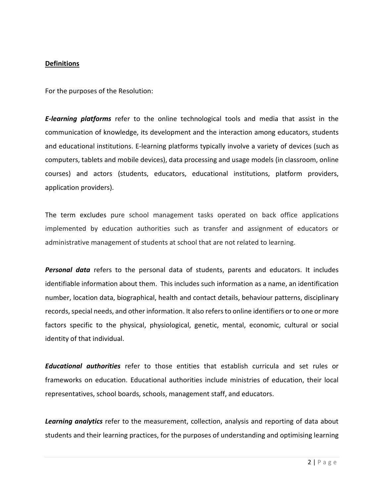#### **Definitions**

For the purposes of the Resolution:

*E-learning platforms* refer to the online technological tools and media that assist in the communication of knowledge, its development and the interaction among educators, students and educational institutions. E-learning platforms typically involve a variety of devices (such as computers, tablets and mobile devices), data processing and usage models (in classroom, online courses) and actors (students, educators, educational institutions, platform providers, application providers).

The term excludes pure school management tasks operated on back office applications implemented by education authorities such as transfer and assignment of educators or administrative management of students at school that are not related to learning.

*Personal data* refers to the personal data of students, parents and educators. It includes identifiable information about them. This includes such information as a name, an identification number, location data, biographical, health and contact details, behaviour patterns, disciplinary records, special needs, and other information. It also refers to online identifiers or to one or more factors specific to the physical, physiological, genetic, mental, economic, cultural or social identity of that individual.

*Educational authorities* refer to those entities that establish curricula and set rules or frameworks on education. Educational authorities include ministries of education, their local representatives, school boards, schools, management staff, and educators.

*Learning analytics* refer to the measurement, collection, analysis and reporting of data about students and their learning practices, for the purposes of understanding and optimising learning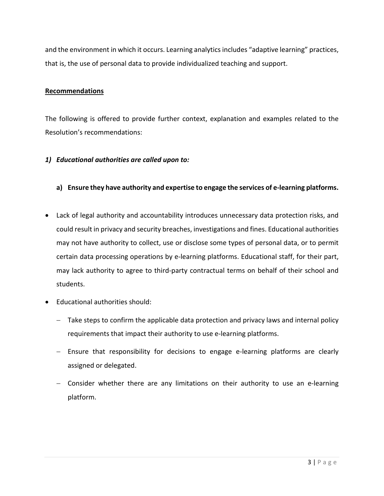and the environment in which it occurs. Learning analytics includes "adaptive learning" practices, that is, the use of personal data to provide individualized teaching and support.

#### **Recommendations**

The following is offered to provide further context, explanation and examples related to the Resolution's recommendations:

#### *1) Educational authorities are called upon to:*

#### **a) Ensure they have authority and expertise to engage the services of e-learning platforms.**

- Lack of legal authority and accountability introduces unnecessary data protection risks, and could result in privacy and security breaches, investigations and fines. Educational authorities may not have authority to collect, use or disclose some types of personal data, or to permit certain data processing operations by e-learning platforms. Educational staff, for their part, may lack authority to agree to third-party contractual terms on behalf of their school and students.
- Educational authorities should:
	- − Take steps to confirm the applicable data protection and privacy laws and internal policy requirements that impact their authority to use e-learning platforms.
	- − Ensure that responsibility for decisions to engage e-learning platforms are clearly assigned or delegated.
	- − Consider whether there are any limitations on their authority to use an e-learning platform.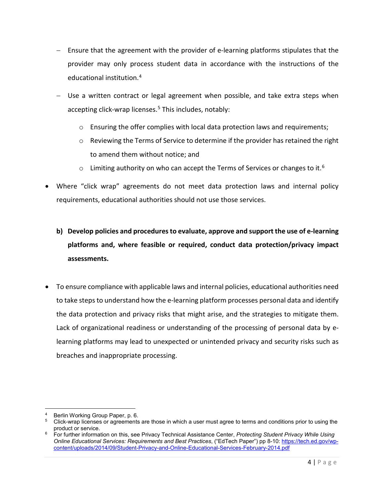- − Ensure that the agreement with the provider of e-learning platforms stipulates that the provider may only process student data in accordance with the instructions of the educational institution.[4](#page-10-0)
- − Use a written contract or legal agreement when possible, and take extra steps when accepting click-wrap licenses. [5](#page-10-1) This includes, notably:
	- $\circ$  Ensuring the offer complies with local data protection laws and requirements;
	- o Reviewing the Terms of Service to determine if the provider has retained the right to amend them without notice; and
	- $\circ$  Limiting authority on who can accept the Terms of Services or changes to it.<sup>6</sup>
- Where "click wrap" agreements do not meet data protection laws and internal policy requirements, educational authorities should not use those services.
	- **b) Develop policies and procedures to evaluate, approve and support the use of e-learning platforms and, where feasible or required, conduct data protection/privacy impact assessments.**
- To ensure compliance with applicable laws and internal policies, educational authorities need to take steps to understand how the e-learning platform processes personal data and identify the data protection and privacy risks that might arise, and the strategies to mitigate them. Lack of organizational readiness or understanding of the processing of personal data by elearning platforms may lead to unexpected or unintended privacy and security risks such as breaches and inappropriate processing.

l Berlin Working Group Paper, p. 6.

<span id="page-10-1"></span><span id="page-10-0"></span><sup>5</sup> Click-wrap licenses or agreements are those in which a user must agree to terms and conditions prior to using the product or service.

<span id="page-10-2"></span><sup>6</sup> For further information on this, see Privacy Technical Assistance Center, *Protecting Student Privacy While Using Online Educational Services: Requirements and Best Practices*, ("EdTech Paper") pp 8-10: [https://tech.ed.gov/wp](https://tech.ed.gov/wp-content/uploads/2014/09/Student-Privacy-and-Online-Educational-Services-February-2014.pdf)[content/uploads/2014/09/Student-Privacy-and-Online-Educational-Services-February-2014.pdf](https://tech.ed.gov/wp-content/uploads/2014/09/Student-Privacy-and-Online-Educational-Services-February-2014.pdf)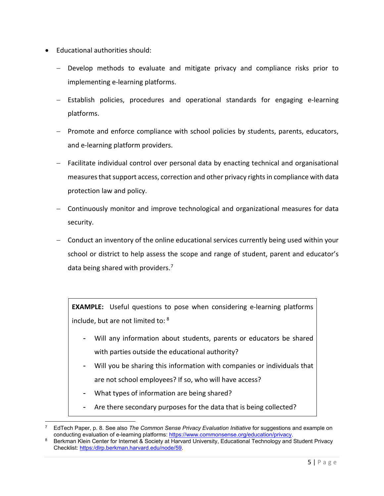- Educational authorities should:
	- − Develop methods to evaluate and mitigate privacy and compliance risks prior to implementing e-learning platforms.
	- − Establish policies, procedures and operational standards for engaging e-learning platforms.
	- − Promote and enforce compliance with school policies by students, parents, educators, and e-learning platform providers.
	- − Facilitate individual control over personal data by enacting technical and organisational measures that support access, correction and other privacy rights in compliance with data protection law and policy.
	- − Continuously monitor and improve technological and organizational measures for data security.
	- − Conduct an inventory of the online educational services currently being used within your school or district to help assess the scope and range of student, parent and educator's data being shared with providers.<sup>[7](#page-11-0)</sup>

**EXAMPLE:** Useful questions to pose when considering e-learning platforms include, but are not limited to: [8](#page-11-1)

- Will any information about students, parents or educators be shared with parties outside the educational authority?
- Will you be sharing this information with companies or individuals that are not school employees? If so, who will have access?
- What types of information are being shared?

l

- Are there secondary purposes for the data that is being collected?

<span id="page-11-0"></span><sup>7</sup> EdTech Paper, p. 8. See also *The Common Sense Privacy Evaluation Initiative* for suggestions and example on conducting evaluation of e-learning platforms: [https://www.commonsense.org/education/privacy.](https://www.commonsense.org/education/privacy)

<span id="page-11-1"></span>Berkman Klein Center for Internet & Society at Harvard University, Educational Technology and Student Privacy Checklist: [https:/dlrp.berkman.harvard.edu/node/59.](https://dlrp.berkman.harvard.edu/node/59)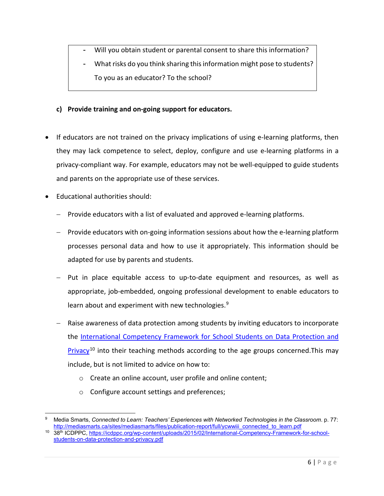- Will you obtain student or parental consent to share this information?
- What risks do you think sharing this information might pose to students? To you as an educator? To the school?
- **c) Provide training and on-going support for educators.**
- If educators are not trained on the privacy implications of using e-learning platforms, then they may lack competence to select, deploy, configure and use e-learning platforms in a privacy-compliant way. For example, educators may not be well-equipped to guide students and parents on the appropriate use of these services.
- Educational authorities should:
	- − Provide educators with a list of evaluated and approved e-learning platforms.
	- − Provide educators with on-going information sessions about how the e-learning platform processes personal data and how to use it appropriately. This information should be adapted for use by parents and students.
	- − Put in place equitable access to up-to-date equipment and resources, as well as appropriate, job-embedded, ongoing professional development to enable educators to learn about and experiment with new technologies.<sup>[9](#page-12-0)</sup>
	- − Raise awareness of data protection among students by inviting educators to incorporate the [International Competency Framework for School Students on Data Protection and](https://icdppc.org/wp-content/uploads/2015/02/International-Competency-Framework-for-school-students-on-data-protection-and-privacy.pdf)   $Privacy<sup>10</sup>$  $Privacy<sup>10</sup>$  $Privacy<sup>10</sup>$  $Privacy<sup>10</sup>$  into their teaching methods according to the age groups concerned. This may include, but is not limited to advice on how to:
		- o Create an online account, user profile and online content;
		- o Configure account settings and preferences;

<span id="page-12-0"></span>l <sup>9</sup> Media Smarts, *Connected to Learn: Teachers' Experiences with Networked Technologies in the Classroom*. p. 77: [http://mediasmarts.ca/sites/mediasmarts/files/publication-report/full/ycwwiii\\_connected\\_to\\_learn.pdf](http://mediasmarts.ca/sites/mediasmarts/files/publication-report/full/ycwwiii_connected_to_learn.pdf)

<span id="page-12-1"></span><sup>10</sup> 38th ICDPPC, [https://icdppc.org/wp-content/uploads/2015/02/International-Competency-Framework-for-school](https://icdppc.org/wp-content/uploads/2015/02/International-Competency-Framework-for-school-students-on-data-protection-and-privacy.pdf)[students-on-data-protection-and-privacy.pdf](https://icdppc.org/wp-content/uploads/2015/02/International-Competency-Framework-for-school-students-on-data-protection-and-privacy.pdf)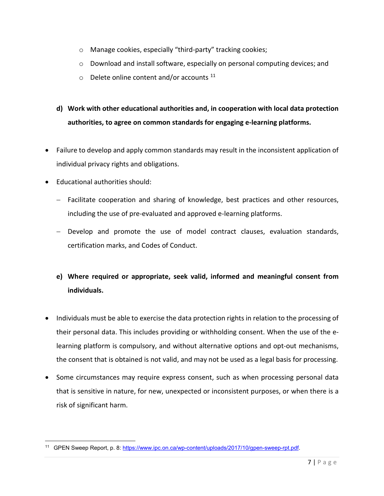- o Manage cookies, especially "third-party" tracking cookies;
- o Download and install software, especially on personal computing devices; and
- $\circ$  Delete online content and/or accounts  $^{11}$  $^{11}$  $^{11}$
- **d) Work with other educational authorities and, in cooperation with local data protection authorities, to agree on common standards for engaging e-learning platforms.**
- Failure to develop and apply common standards may result in the inconsistent application of individual privacy rights and obligations.
- Educational authorities should:
	- − Facilitate cooperation and sharing of knowledge, best practices and other resources, including the use of pre-evaluated and approved e-learning platforms.
	- − Develop and promote the use of model contract clauses, evaluation standards, certification marks, and Codes of Conduct.
	- **e) Where required or appropriate, seek valid, informed and meaningful consent from individuals.**
- Individuals must be able to exercise the data protection rights in relation to the processing of their personal data. This includes providing or withholding consent. When the use of the elearning platform is compulsory, and without alternative options and opt-out mechanisms, the consent that is obtained is not valid, and may not be used as a legal basis for processing.
- Some circumstances may require express consent, such as when processing personal data that is sensitive in nature, for new, unexpected or inconsistent purposes, or when there is a risk of significant harm.

<span id="page-13-0"></span>l <sup>11</sup> GPEN Sweep Report, p. 8[: https://www.ipc.on.ca/wp-content/uploads/2017/10/gpen-sweep-rpt.pdf.](https://www.ipc.on.ca/wp-content/uploads/2017/10/gpen-sweep-rpt.pdf)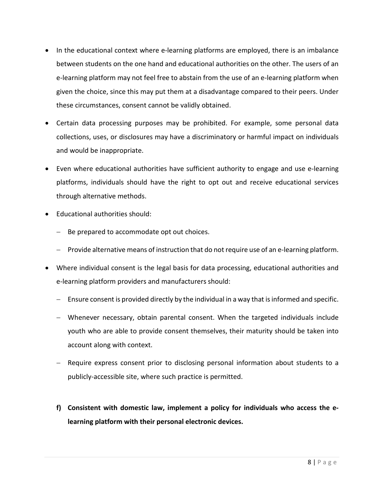- In the educational context where e-learning platforms are employed, there is an imbalance between students on the one hand and educational authorities on the other. The users of an e-learning platform may not feel free to abstain from the use of an e-learning platform when given the choice, since this may put them at a disadvantage compared to their peers. Under these circumstances, consent cannot be validly obtained.
- Certain data processing purposes may be prohibited. For example, some personal data collections, uses, or disclosures may have a discriminatory or harmful impact on individuals and would be inappropriate.
- Even where educational authorities have sufficient authority to engage and use e-learning platforms, individuals should have the right to opt out and receive educational services through alternative methods.
- Educational authorities should:
	- − Be prepared to accommodate opt out choices.
	- − Provide alternative means of instruction that do not require use of an e-learning platform.
- Where individual consent is the legal basis for data processing, educational authorities and e-learning platform providers and manufacturers should:
	- − Ensure consent is provided directly by the individual in a way that is informed and specific.
	- − Whenever necessary, obtain parental consent. When the targeted individuals include youth who are able to provide consent themselves, their maturity should be taken into account along with context.
	- − Require express consent prior to disclosing personal information about students to a publicly-accessible site, where such practice is permitted.
	- **f) Consistent with domestic law, implement a policy for individuals who access the elearning platform with their personal electronic devices.**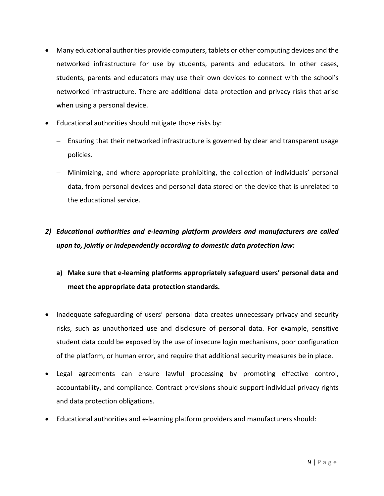- Many educational authorities provide computers, tablets or other computing devices and the networked infrastructure for use by students, parents and educators. In other cases, students, parents and educators may use their own devices to connect with the school's networked infrastructure. There are additional data protection and privacy risks that arise when using a personal device.
- Educational authorities should mitigate those risks by:
	- − Ensuring that their networked infrastructure is governed by clear and transparent usage policies.
	- − Minimizing, and where appropriate prohibiting, the collection of individuals' personal data, from personal devices and personal data stored on the device that is unrelated to the educational service.

# *2) Educational authorities and e-learning platform providers and manufacturers are called upon to, jointly or independently according to domestic data protection law:*

- **a) Make sure that e-learning platforms appropriately safeguard users' personal data and meet the appropriate data protection standards.**
- Inadequate safeguarding of users' personal data creates unnecessary privacy and security risks, such as unauthorized use and disclosure of personal data. For example, sensitive student data could be exposed by the use of insecure login mechanisms, poor configuration of the platform, or human error, and require that additional security measures be in place.
- Legal agreements can ensure lawful processing by promoting effective control, accountability, and compliance. Contract provisions should support individual privacy rights and data protection obligations.
- Educational authorities and e-learning platform providers and manufacturers should: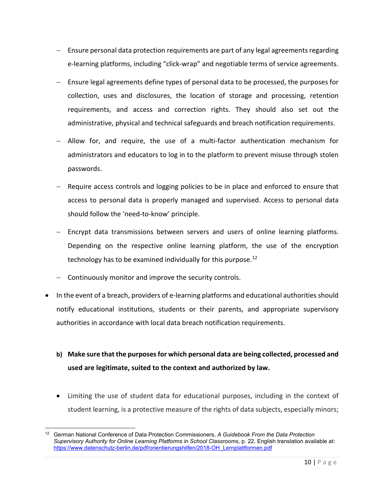- − Ensure personal data protection requirements are part of any legal agreements regarding e-learning platforms, including "click-wrap" and negotiable terms of service agreements.
- − Ensure legal agreements define types of personal data to be processed, the purposes for collection, uses and disclosures, the location of storage and processing, retention requirements, and access and correction rights. They should also set out the administrative, physical and technical safeguards and breach notification requirements.
- − Allow for, and require, the use of a multi-factor authentication mechanism for administrators and educators to log in to the platform to prevent misuse through stolen passwords.
- − Require access controls and logging policies to be in place and enforced to ensure that access to personal data is properly managed and supervised. Access to personal data should follow the 'need-to-know' principle.
- − Encrypt data transmissions between servers and users of online learning platforms. Depending on the respective online learning platform, the use of the encryption technology has to be examined individually for this purpose.<sup>[12](#page-16-0)</sup>
- − Continuously monitor and improve the security controls.

 $\overline{\phantom{a}}$ 

- In the event of a breach, providers of e-learning platforms and educational authorities should notify educational institutions, students or their parents, and appropriate supervisory authorities in accordance with local data breach notification requirements.
	- **b) Make sure that the purposes for which personal data are being collected, processed and used are legitimate, suited to the context and authorized by law.**
	- Limiting the use of student data for educational purposes, including in the context of student learning, is a protective measure of the rights of data subjects, especially minors;

<span id="page-16-0"></span><sup>12</sup> German National Conference of Data Protection Commissioners, *A Guidebook From the Data Protection Supervisory Authority for Online Learning Platforms in School Classrooms*, p. 22. English translation available at: [https://www.datenschutz-berlin.de/pdf/orientierungshilfen/2018-OH\\_Lernplattformen.pdf](https://www.datenschutz-berlin.de/pdf/orientierungshilfen/2018-OH_Lernplattformen.pdf)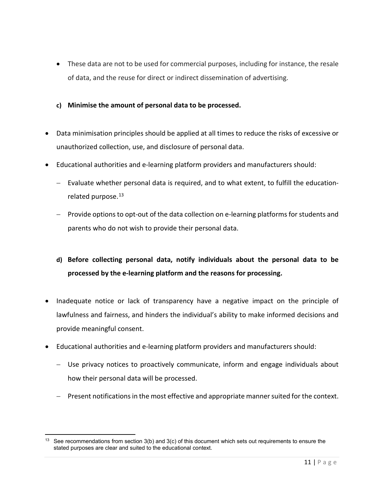- These data are not to be used for commercial purposes, including for instance, the resale of data, and the reuse for direct or indirect dissemination of advertising.
- **c) Minimise the amount of personal data to be processed.**
- Data minimisation principles should be applied at all times to reduce the risks of excessive or unauthorized collection, use, and disclosure of personal data.
- Educational authorities and e-learning platform providers and manufacturers should:
	- − Evaluate whether personal data is required, and to what extent, to fulfill the education-related purpose.<sup>[13](#page-17-0)</sup>
	- − Provide options to opt-out of the data collection on e-learning platforms for students and parents who do not wish to provide their personal data.
	- **d) Before collecting personal data, notify individuals about the personal data to be processed by the e-learning platform and the reasons for processing.**
- Inadequate notice or lack of transparency have a negative impact on the principle of lawfulness and fairness, and hinders the individual's ability to make informed decisions and provide meaningful consent.
- Educational authorities and e-learning platform providers and manufacturers should:
	- − Use privacy notices to proactively communicate, inform and engage individuals about how their personal data will be processed.
	- − Present notifications in the most effective and appropriate manner suited for the context.

 $\overline{\phantom{a}}$ 

<span id="page-17-0"></span><sup>&</sup>lt;sup>13</sup> See recommendations from section  $3(b)$  and  $3(c)$  of this document which sets out requirements to ensure the stated purposes are clear and suited to the educational context.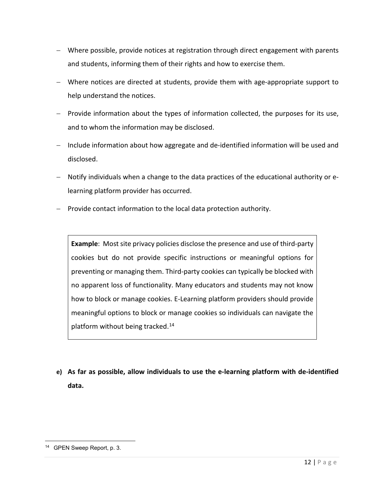- − Where possible, provide notices at registration through direct engagement with parents and students, informing them of their rights and how to exercise them.
- − Where notices are directed at students, provide them with age-appropriate support to help understand the notices.
- − Provide information about the types of information collected, the purposes for its use, and to whom the information may be disclosed.
- − Include information about how aggregate and de-identified information will be used and disclosed.
- − Notify individuals when a change to the data practices of the educational authority or elearning platform provider has occurred.
- − Provide contact information to the local data protection authority.

**Example**: Most site privacy policies disclose the presence and use of third-party cookies but do not provide specific instructions or meaningful options for preventing or managing them. Third-party cookies can typically be blocked with no apparent loss of functionality. Many educators and students may not know how to block or manage cookies. E-Learning platform providers should provide meaningful options to block or manage cookies so individuals can navigate the platform without being tracked. $14$ 

**e) As far as possible, allow individuals to use the e-learning platform with de-identified data.**

l

<span id="page-18-0"></span><sup>14</sup> GPEN Sweep Report, p. 3.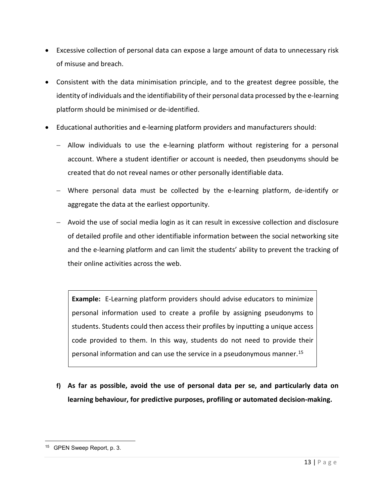- Excessive collection of personal data can expose a large amount of data to unnecessary risk of misuse and breach.
- Consistent with the data minimisation principle, and to the greatest degree possible, the identity of individuals and the identifiability of their personal data processed by the e-learning platform should be minimised or de-identified.
- Educational authorities and e-learning platform providers and manufacturers should:
	- − Allow individuals to use the e-learning platform without registering for a personal account. Where a student identifier or account is needed, then pseudonyms should be created that do not reveal names or other personally identifiable data.
	- − Where personal data must be collected by the e-learning platform, de-identify or aggregate the data at the earliest opportunity.
	- − Avoid the use of social media login as it can result in excessive collection and disclosure of detailed profile and other identifiable information between the social networking site and the e-learning platform and can limit the students' ability to prevent the tracking of their online activities across the web.

**Example:** E-Learning platform providers should advise educators to minimize personal information used to create a profile by assigning pseudonyms to students. Students could then access their profiles by inputting a unique access code provided to them. In this way, students do not need to provide their personal information and can use the service in a pseudonymous manner.<sup>[15](#page-19-0)</sup>

**f) As far as possible, avoid the use of personal data per se, and particularly data on learning behaviour, for predictive purposes, profiling or automated decision-making.** 

l

<span id="page-19-0"></span><sup>15</sup> GPEN Sweep Report, p. 3.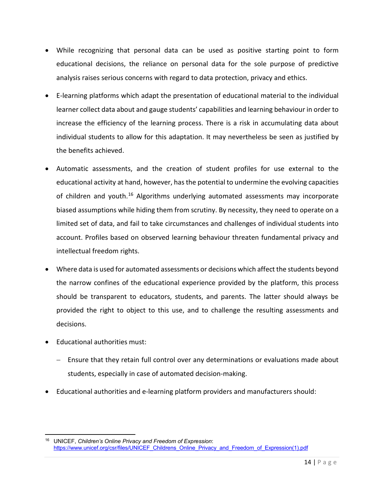- While recognizing that personal data can be used as positive starting point to form educational decisions, the reliance on personal data for the sole purpose of predictive analysis raises serious concerns with regard to data protection, privacy and ethics.
- E-learning platforms which adapt the presentation of educational material to the individual learner collect data about and gauge students' capabilities and learning behaviour in order to increase the efficiency of the learning process. There is a risk in accumulating data about individual students to allow for this adaptation. It may nevertheless be seen as justified by the benefits achieved.
- Automatic assessments, and the creation of student profiles for use external to the educational activity at hand, however, has the potential to undermine the evolving capacities of children and youth.<sup>16</sup> Algorithms underlying automated assessments may incorporate biased assumptions while hiding them from scrutiny. By necessity, they need to operate on a limited set of data, and fail to take circumstances and challenges of individual students into account. Profiles based on observed learning behaviour threaten fundamental privacy and intellectual freedom rights.
- Where data is used for automated assessments or decisions which affect the students beyond the narrow confines of the educational experience provided by the platform, this process should be transparent to educators, students, and parents. The latter should always be provided the right to object to this use, and to challenge the resulting assessments and decisions.
- Educational authorities must:
	- − Ensure that they retain full control over any determinations or evaluations made about students, especially in case of automated decision-making.
- Educational authorities and e-learning platform providers and manufacturers should:

<span id="page-20-0"></span> $\overline{\phantom{a}}$ <sup>16</sup> UNICEF, *Children's Online Privacy and Freedom of Expression*: [https://www.unicef.org/csr/files/UNICEF\\_Childrens\\_Online\\_Privacy\\_and\\_Freedom\\_of\\_Expression\(1\).pdf](https://www.unicef.org/csr/files/UNICEF_Childrens_Online_Privacy_and_Freedom_of_Expression(1).pdf)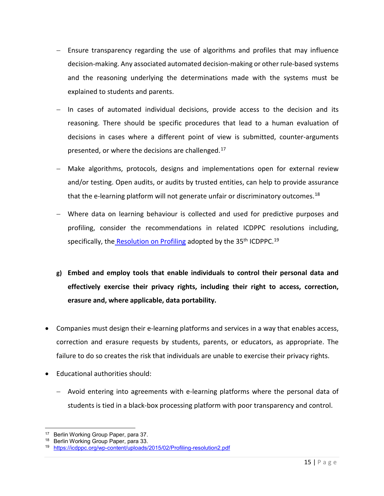- − Ensure transparency regarding the use of algorithms and profiles that may influence decision-making. Any associated automated decision-making or other rule-based systems and the reasoning underlying the determinations made with the systems must be explained to students and parents.
- − In cases of automated individual decisions, provide access to the decision and its reasoning. There should be specific procedures that lead to a human evaluation of decisions in cases where a different point of view is submitted, counter-arguments presented, or where the decisions are challenged.<sup>[17](#page-21-0)</sup>
- Make algorithms, protocols, designs and implementations open for external review and/or testing. Open audits, or audits by trusted entities, can help to provide assurance that the e-learning platform will not generate unfair or discriminatory outcomes.<sup>[18](#page-21-1)</sup>
- − Where data on learning behaviour is collected and used for predictive purposes and profiling, consider the recommendations in related ICDPPC resolutions including, specifically, the [Resolution on Profiling](https://icdppc.org/wp-content/uploads/2015/02/Profiling-resolution2.pdf) adopted by the 35<sup>th</sup> ICDPPC.<sup>[19](#page-21-2)</sup>
- **g) Embed and employ tools that enable individuals to control their personal data and effectively exercise their privacy rights, including their right to access, correction, erasure and, where applicable, data portability.**
- Companies must design their e-learning platforms and services in a way that enables access, correction and erasure requests by students, parents, or educators, as appropriate. The failure to do so creates the risk that individuals are unable to exercise their privacy rights.
- Educational authorities should:
	- − Avoid entering into agreements with e-learning platforms where the personal data of students is tied in a black-box processing platform with poor transparency and control.

 $\overline{\phantom{a}}$ 

<span id="page-21-2"></span><span id="page-21-1"></span>

<span id="page-21-0"></span><sup>17</sup> Berlin Working Group Paper, para 37.<br><sup>18</sup> Berlin Working Group Paper, para 33.<br><sup>19</sup> <https://icdppc.org/wp-content/uploads/2015/02/Profiling-resolution2.pdf>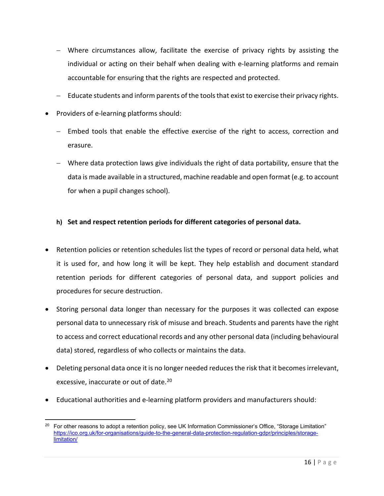- − Where circumstances allow, facilitate the exercise of privacy rights by assisting the individual or acting on their behalf when dealing with e-learning platforms and remain accountable for ensuring that the rights are respected and protected.
- Educate students and inform parents of the tools that exist to exercise their privacy rights.
- Providers of e-learning platforms should:
	- − Embed tools that enable the effective exercise of the right to access, correction and erasure.
	- − Where data protection laws give individuals the right of data portability, ensure that the data is made available in a structured, machine readable and open format (e.g. to account for when a pupil changes school).

### **h) Set and respect retention periods for different categories of personal data.**

- Retention policies or retention schedules list the types of record or personal data held, what it is used for, and how long it will be kept. They help establish and document standard retention periods for different categories of personal data, and support policies and procedures for secure destruction.
- Storing personal data longer than necessary for the purposes it was collected can expose personal data to unnecessary risk of misuse and breach. Students and parents have the right to access and correct educational records and any other personal data (including behavioural data) stored, regardless of who collects or maintains the data.
- Deleting personal data once it is no longer needed reduces the risk that it becomes irrelevant, excessive, inaccurate or out of date.<sup>[20](#page-22-0)</sup>
- Educational authorities and e-learning platform providers and manufacturers should:

<span id="page-22-0"></span> $\overline{a}$ <sup>20</sup> For other reasons to adopt a retention policy, see UK Information Commissioner's Office, "Storage Limitation" [https://ico.org.uk/for-organisations/guide-to-the-general-data-protection-regulation-gdpr/principles/storage](https://ico.org.uk/for-organisations/guide-to-the-general-data-protection-regulation-gdpr/principles/storage-limitation/)[limitation/](https://ico.org.uk/for-organisations/guide-to-the-general-data-protection-regulation-gdpr/principles/storage-limitation/)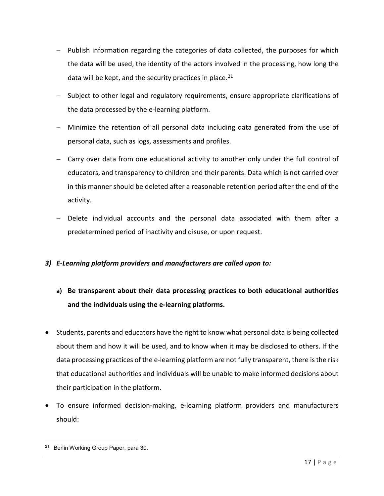- − Publish information regarding the categories of data collected, the purposes for which the data will be used, the identity of the actors involved in the processing, how long the data will be kept, and the security practices in place. $21$
- − Subject to other legal and regulatory requirements, ensure appropriate clarifications of the data processed by the e-learning platform.
- − Minimize the retention of all personal data including data generated from the use of personal data, such as logs, assessments and profiles.
- − Carry over data from one educational activity to another only under the full control of educators, and transparency to children and their parents. Data which is not carried over in this manner should be deleted after a reasonable retention period after the end of the activity.
- − Delete individual accounts and the personal data associated with them after a predetermined period of inactivity and disuse, or upon request.

### *3) E-Learning platform providers and manufacturers are called upon to:*

# **a) Be transparent about their data processing practices to both educational authorities and the individuals using the e-learning platforms.**

- Students, parents and educators have the right to know what personal data is being collected about them and how it will be used, and to know when it may be disclosed to others. If the data processing practices of the e-learning platform are not fully transparent, there is the risk that educational authorities and individuals will be unable to make informed decisions about their participation in the platform.
- To ensure informed decision-making, e-learning platform providers and manufacturers should:

<span id="page-23-0"></span>l <sup>21</sup> Berlin Working Group Paper, para 30.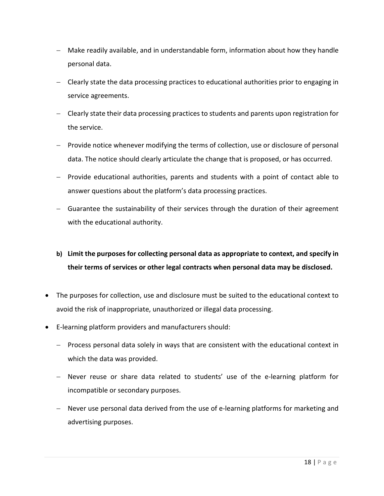- − Make readily available, and in understandable form, information about how they handle personal data.
- − Clearly state the data processing practices to educational authorities prior to engaging in service agreements.
- − Clearly state their data processing practices to students and parents upon registration for the service.
- − Provide notice whenever modifying the terms of collection, use or disclosure of personal data. The notice should clearly articulate the change that is proposed, or has occurred.
- − Provide educational authorities, parents and students with a point of contact able to answer questions about the platform's data processing practices.
- − Guarantee the sustainability of their services through the duration of their agreement with the educational authority.
- **b) Limit the purposes for collecting personal data as appropriate to context, and specify in their terms of services or other legal contracts when personal data may be disclosed.**
- The purposes for collection, use and disclosure must be suited to the educational context to avoid the risk of inappropriate, unauthorized or illegal data processing.
- E-learning platform providers and manufacturers should:
	- − Process personal data solely in ways that are consistent with the educational context in which the data was provided.
	- − Never reuse or share data related to students' use of the e-learning platform for incompatible or secondary purposes.
	- − Never use personal data derived from the use of e-learning platforms for marketing and advertising purposes.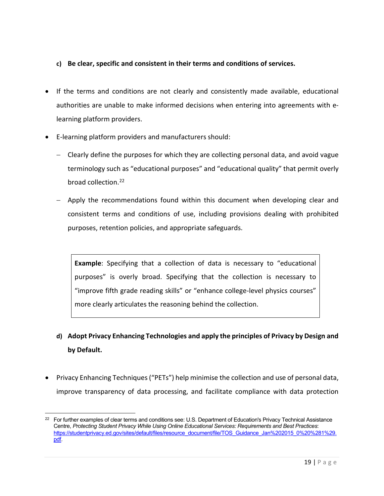#### **c) Be clear, specific and consistent in their terms and conditions of services.**

- If the terms and conditions are not clearly and consistently made available, educational authorities are unable to make informed decisions when entering into agreements with elearning platform providers.
- E-learning platform providers and manufacturers should:

l

- − Clearly define the purposes for which they are collecting personal data, and avoid vague terminology such as "educational purposes" and "educational quality" that permit overly broad collection[.22](#page-25-0)
- − Apply the recommendations found within this document when developing clear and consistent terms and conditions of use, including provisions dealing with prohibited purposes, retention policies, and appropriate safeguards.

**Example**: Specifying that a collection of data is necessary to "educational purposes" is overly broad. Specifying that the collection is necessary to "improve fifth grade reading skills" or "enhance college-level physics courses" more clearly articulates the reasoning behind the collection.

- **d) Adopt Privacy Enhancing Technologies and apply the principles of Privacy by Design and by Default.**
- Privacy Enhancing Techniques ("PETs") help minimise the collection and use of personal data, improve transparency of data processing, and facilitate compliance with data protection

<span id="page-25-0"></span><sup>&</sup>lt;sup>22</sup> For further examples of clear terms and conditions see: U.S. Department of Education's Privacy Technical Assistance Centre, *Protecting Student Privacy While Using Online Educational Services: Requirements and Best Practices*: [https://studentprivacy.ed.gov/sites/default/files/resource\\_document/file/TOS\\_Guidance\\_Jan%202015\\_0%20%281%29.](https://studentprivacy.ed.gov/sites/default/files/resource_document/file/TOS_Guidance_Jan%202015_0%20%281%29.pdf) [pdf.](https://studentprivacy.ed.gov/sites/default/files/resource_document/file/TOS_Guidance_Jan%202015_0%20%281%29.pdf)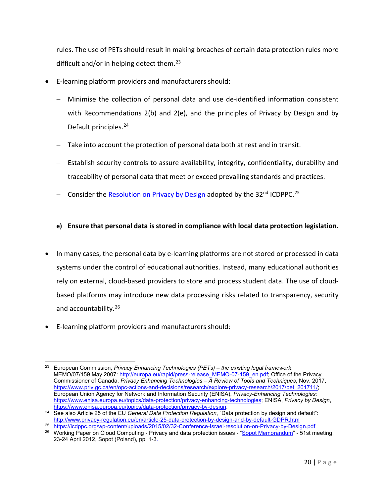rules. The use of PETs should result in making breaches of certain data protection rules more difficult and/or in helping detect them.<sup>[23](#page-26-0)</sup>

- E-learning platform providers and manufacturers should:
	- − Minimise the collection of personal data and use de-identified information consistent with Recommendations 2(b) and 2(e), and the principles of Privacy by Design and by Default principles.<sup>[24](#page-26-1)</sup>
	- − Take into account the protection of personal data both at rest and in transit.
	- − Establish security controls to assure availability, integrity, confidentiality, durability and traceability of personal data that meet or exceed prevailing standards and practices.
	- − Consider th[e Resolution on Privacy by Design](https://icdppc.org/wp-content/uploads/2015/02/32-Conference-Israel-resolution-on-Privacy-by-Design.pdf) adopted by the 32<sup>nd</sup> ICDPPC.<sup>[25](#page-26-2)</sup>

### **e) Ensure that personal data is stored in compliance with local data protection legislation.**

- In many cases, the personal data by e-learning platforms are not stored or processed in data systems under the control of educational authorities. Instead, many educational authorities rely on external, cloud-based providers to store and process student data. The use of cloudbased platforms may introduce new data processing risks related to transparency, security and accountability.<sup>[26](#page-26-3)</sup>
- E-learning platform providers and manufacturers should:

<span id="page-26-0"></span> $\overline{\phantom{a}}$ <sup>23</sup> European Commission, *Privacy Enhancing Technologies (PETs) – the existing legal framework*, MEMO/07/159, May 2007[: http://europa.eu/rapid/press-release\\_MEMO-07-159\\_en.pdf;](http://europa.eu/rapid/press-release_MEMO-07-159_en.pdf) Office of the Privacy Commissioner of Canada, *Privacy Enhancing Technologies – A Review of Tools and Techniques*, Nov. 2017, [https://www.priv.gc.ca/en/opc-actions-and-decisions/research/explore-privacy-research/2017/pet\\_201711/;](https://www.priv.gc.ca/en/opc-actions-and-decisions/research/explore-privacy-research/2017/pet_201711/) European Union Agency for Network and Information Security (ENISA), *Privacy-Enhancing Technologies:* [https://www.enisa.europa.eu/topics/data-protection/privacy-enhancing-technologies;](https://www.enisa.europa.eu/topics/data-protection/privacy-enhancing-technologies) ENISA, *Privacy by Design*, [https://www.enisa.europa.eu/topics/data-protection/privacy-by-design.](https://www.enisa.europa.eu/topics/data-protection/privacy-by-design)

<span id="page-26-1"></span><sup>24</sup> See also Article 25 of the EU *General Data Protection Regulation*, "Data protection by design and default": <http://www.privacy-regulation.eu/en/article-25-data-protection-by-design-and-by-default-GDPR.htm>

<span id="page-26-2"></span><sup>25</sup> <https://icdppc.org/wp-content/uploads/2015/02/32-Conference-Israel-resolution-on-Privacy-by-Design.pdf>

<span id="page-26-3"></span><sup>26</sup> Working Paper on Cloud Computing - Privacy and data protection issues - ["Sopot Memorandum"](https://datenschutzberlin.de/attachments/875/Sopot_Memorandum.12.6.12.pdf) - 51st meeting, 23-24 April 2012, Sopot (Poland), pp. 1-3.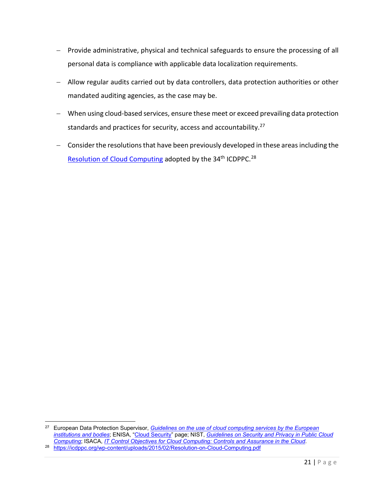- − Provide administrative, physical and technical safeguards to ensure the processing of all personal data is compliance with applicable data localization requirements.
- − Allow regular audits carried out by data controllers, data protection authorities or other mandated auditing agencies, as the case may be.
- − When using cloud-based services, ensure these meet or exceed prevailing data protection standards and practices for security, access and accountability.<sup>[27](#page-27-0)</sup>
- − Consider the resolutions that have been previously developed in these areas including th[e](https://icdppc.org/wp-content/uploads/2015/02/Resolution-on-Cloud-Computing.pdf) [Resolution of Cloud Computing](https://icdppc.org/wp-content/uploads/2015/02/Resolution-on-Cloud-Computing.pdf) adopted by the 34<sup>th</sup> ICDPPC.<sup>[28](#page-27-1)</sup>

l

<span id="page-27-1"></span><span id="page-27-0"></span><sup>27</sup> European Data Protection Supervisor, *[Guidelines on the use of cloud computing services by the European](https://edps.europa.eu/sites/edp/files/publication/18-03-16_cloud_computing_guidelines_en.pdf)  [institutions and bodies](https://edps.europa.eu/sites/edp/files/publication/18-03-16_cloud_computing_guidelines_en.pdf)*; ENISA, ["Cloud Security"](https://www.enisa.europa.eu/topics/cloud-and-big-data/cloud-security) page; NIST, *[Guidelines on Security and Privacy in Public Cloud](https://nvlpubs.nist.gov/nistpubs/Legacy/SP/nistspecialpublication800-144.pdf)  [Computing](https://nvlpubs.nist.gov/nistpubs/Legacy/SP/nistspecialpublication800-144.pdf)*; ISACA, *[IT Control Objectives for Cloud Computing: Controls and Assurance in the Cloud](https://www.isaca.org/chapters2/kampala/newsandannouncements/Documents/IT%20contro%20objectives%20for%20Cloud%20computing.pdf)*. <sup>28</sup> <https://icdppc.org/wp-content/uploads/2015/02/Resolution-on-Cloud-Computing.pdf>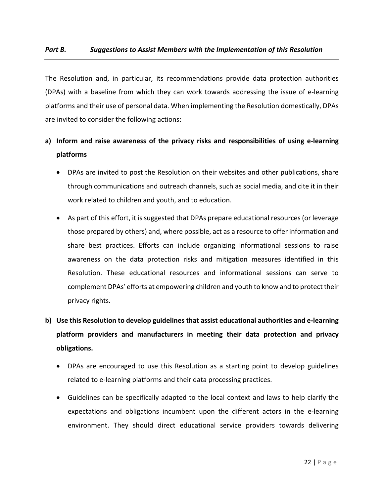The Resolution and, in particular, its recommendations provide data protection authorities (DPAs) with a baseline from which they can work towards addressing the issue of e-learning platforms and their use of personal data. When implementing the Resolution domestically, DPAs are invited to consider the following actions:

## **a) Inform and raise awareness of the privacy risks and responsibilities of using e-learning platforms**

- DPAs are invited to post the Resolution on their websites and other publications, share through communications and outreach channels, such as social media, and cite it in their work related to children and youth, and to education.
- As part of this effort, it is suggested that DPAs prepare educational resources (or leverage those prepared by others) and, where possible, act as a resource to offer information and share best practices. Efforts can include organizing informational sessions to raise awareness on the data protection risks and mitigation measures identified in this Resolution. These educational resources and informational sessions can serve to complement DPAs' efforts at empowering children and youth to know and to protect their privacy rights.
- **b) Use this Resolution to develop guidelines that assist educational authorities and e-learning platform providers and manufacturers in meeting their data protection and privacy obligations.**
	- DPAs are encouraged to use this Resolution as a starting point to develop guidelines related to e-learning platforms and their data processing practices.
	- Guidelines can be specifically adapted to the local context and laws to help clarify the expectations and obligations incumbent upon the different actors in the e-learning environment. They should direct educational service providers towards delivering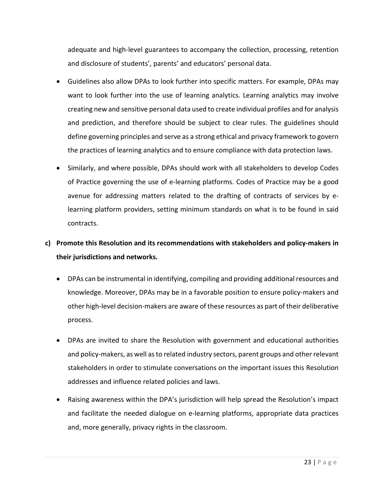adequate and high-level guarantees to accompany the collection, processing, retention and disclosure of students', parents' and educators' personal data.

- Guidelines also allow DPAs to look further into specific matters. For example, DPAs may want to look further into the use of learning analytics. Learning analytics may involve creating new and sensitive personal data used to create individual profiles and for analysis and prediction, and therefore should be subject to clear rules. The guidelines should define governing principles and serve as a strong ethical and privacy framework to govern the practices of learning analytics and to ensure compliance with data protection laws.
- Similarly, and where possible, DPAs should work with all stakeholders to develop Codes of Practice governing the use of e-learning platforms. Codes of Practice may be a good avenue for addressing matters related to the drafting of contracts of services by elearning platform providers, setting minimum standards on what is to be found in said contracts.

# **c) Promote this Resolution and its recommendations with stakeholders and policy-makers in their jurisdictions and networks.**

- DPAs can be instrumental in identifying, compiling and providing additional resources and knowledge. Moreover, DPAs may be in a favorable position to ensure policy-makers and other high-level decision-makers are aware of these resources as part of their deliberative process.
- DPAs are invited to share the Resolution with government and educational authorities and policy-makers, as well as to related industry sectors, parent groups and other relevant stakeholders in order to stimulate conversations on the important issues this Resolution addresses and influence related policies and laws.
- Raising awareness within the DPA's jurisdiction will help spread the Resolution's impact and facilitate the needed dialogue on e-learning platforms, appropriate data practices and, more generally, privacy rights in the classroom.